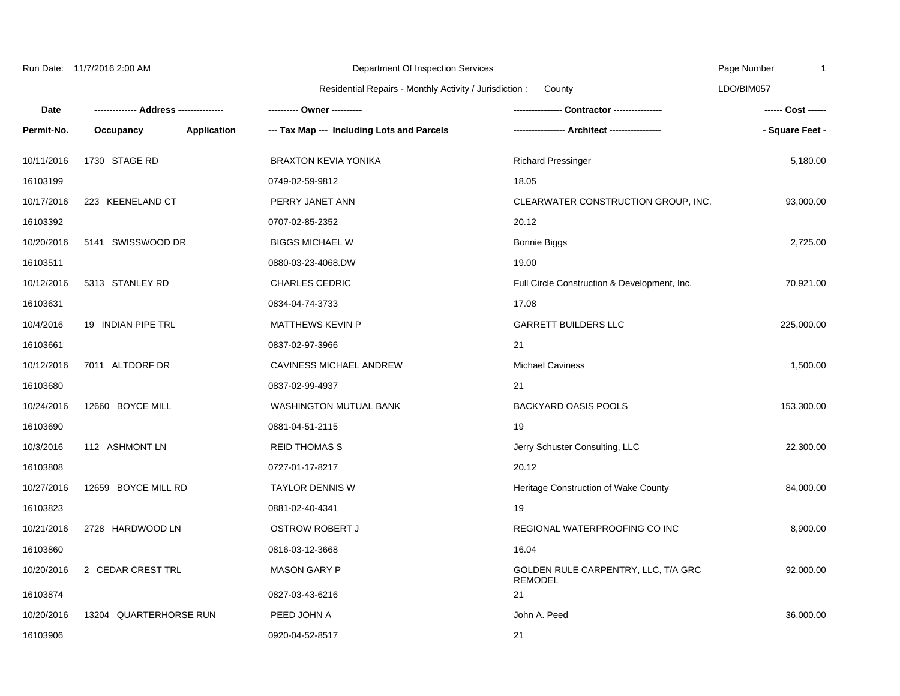10/11/2016 1730 STAGE RD BRAXTON KEVIA YONIKA Richard Pressinger 5,180.00 16103199 0749-02-59-9812 18.05 10/17/2016 223 KEENELAND CT PERRY JANET ANN CLEARWATER CONSTRUCTION GROUP, INC. 93,000.00 16103392 0707-02-85-2352 20.12 10/20/2016 5141 SWISSWOOD DR BIGGS MICHAEL W Bonnie Biggs 2,725.00 16103511 0880-03-23-4068.DW 19.00 10/12/2016 5313 STANLEY RD CHARLES CEDRIC Full Circle Construction & Development, Inc. 70,921.00 16103631 0834-04-74-3733 17.08 Residential Repairs - Monthly Activity / Jurisdiction : **Date Permit-No. -------------- Address --------------- Occupancy Application --- Tax Map --- Including Lots and Parcels ---------- Owner ---------- ---------------- Contractor ---------------- ----------------- Architect -----------------** County

10/4/2016 19 INDIAN PIPE TRL MATTHEWS KEVIN P GARRETT BUILDERS LLC 225,000.00 16103661 0837-02-97-3966 21 **- Square Feet -**

Page Number LDO/BIM057

1

**------ Cost ------**

| 10/12/2016 | 7011 ALTDORF DR        | CAVINESS MICHAEL ANDREW       | <b>Michael Caviness</b>                               | 1,500.00   |
|------------|------------------------|-------------------------------|-------------------------------------------------------|------------|
| 16103680   |                        | 0837-02-99-4937               | 21                                                    |            |
| 10/24/2016 | 12660 BOYCE MILL       | <b>WASHINGTON MUTUAL BANK</b> | <b>BACKYARD OASIS POOLS</b>                           | 153,300.00 |
| 16103690   |                        | 0881-04-51-2115               | 19                                                    |            |
| 10/3/2016  | 112 ASHMONT LN         | <b>REID THOMAS S</b>          | Jerry Schuster Consulting, LLC                        | 22,300.00  |
| 16103808   |                        | 0727-01-17-8217               | 20.12                                                 |            |
| 10/27/2016 | 12659 BOYCE MILL RD    | <b>TAYLOR DENNIS W</b>        | Heritage Construction of Wake County                  | 84,000.00  |
| 16103823   |                        | 0881-02-40-4341               | 19                                                    |            |
| 10/21/2016 | 2728 HARDWOOD LN       | <b>OSTROW ROBERT J</b>        | REGIONAL WATERPROOFING CO INC                         | 8,900.00   |
| 16103860   |                        | 0816-03-12-3668               | 16.04                                                 |            |
| 10/20/2016 | 2 CEDAR CREST TRL      | <b>MASON GARY P</b>           | GOLDEN RULE CARPENTRY, LLC, T/A GRC<br><b>REMODEL</b> | 92,000.00  |
| 16103874   |                        | 0827-03-43-6216               | 21                                                    |            |
| 10/20/2016 | 13204 QUARTERHORSE RUN | PEED JOHN A                   | John A. Peed                                          | 36,000.00  |
| 16103906   |                        | 0920-04-52-8517               | 21                                                    |            |
|            |                        |                               |                                                       |            |

Department Of Inspection Services

Run Date: 11/7/2016 2:00 AM